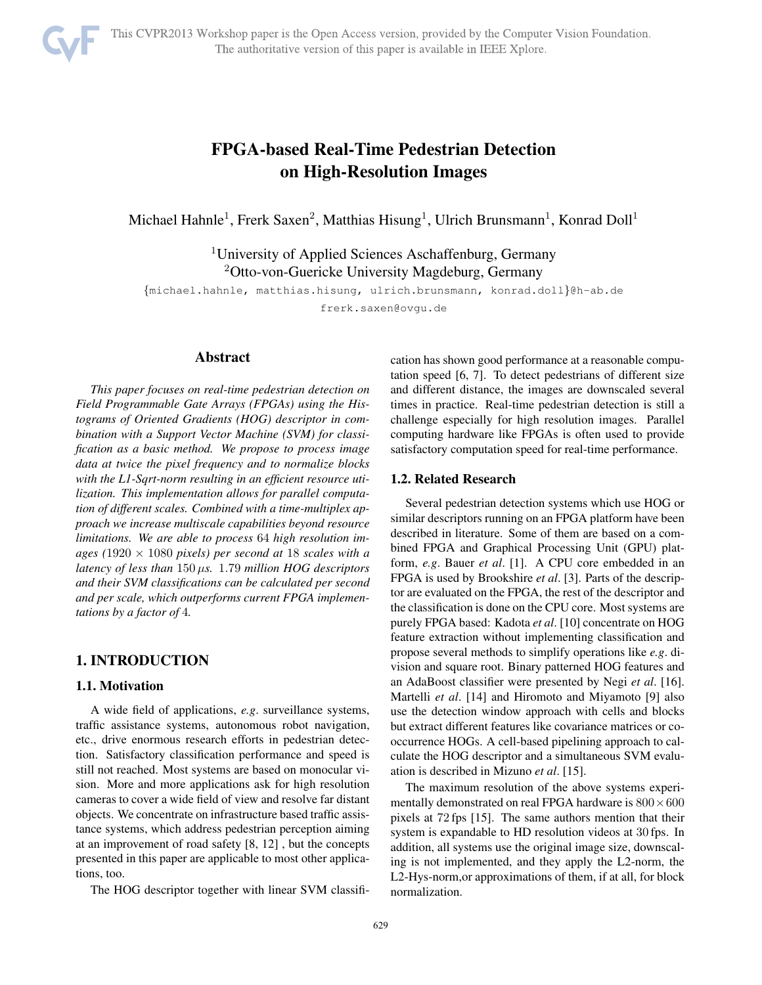

# FPGA-based Real-Time Pedestrian Detection on High-Resolution Images

Michael Hahnle<sup>1</sup>, Frerk Saxen<sup>2</sup>, Matthias Hisung<sup>1</sup>, Ulrich Brunsmann<sup>1</sup>, Konrad Doll<sup>1</sup>

<sup>1</sup>University of Applied Sciences Aschaffenburg, Germany <sup>2</sup>Otto-von-Guericke University Magdeburg, Germany

{michael.hahnle, matthias.hisung, ulrich.brunsmann, konrad.doll}@h-ab.de

frerk.saxen@ovgu.de

## Abstract

*This paper focuses on real-time pedestrian detection on Field Programmable Gate Arrays (FPGAs) using the Histograms of Oriented Gradients (HOG) descriptor in combination with a Support Vector Machine (SVM) for classification as a basic method. We propose to process image data at twice the pixel frequency and to normalize blocks with the L1-Sqrt-norm resulting in an efficient resource utilization. This implementation allows for parallel computation of different scales. Combined with a time-multiplex approach we increase multiscale capabilities beyond resource limitations. We are able to process* 64 *high resolution images (*1920 × 1080 *pixels) per second at* 18 *scales with a latency of less than* 150 μ*s.* 1.79 *million HOG descriptors and their SVM classifications can be calculated per second and per scale, which outperforms current FPGA implementations by a factor of* 4*.*

# 1. INTRODUCTION

#### 1.1. Motivation

A wide field of applications, *e.g*. surveillance systems, traffic assistance systems, autonomous robot navigation, etc., drive enormous research efforts in pedestrian detection. Satisfactory classification performance and speed is still not reached. Most systems are based on monocular vision. More and more applications ask for high resolution cameras to cover a wide field of view and resolve far distant objects. We concentrate on infrastructure based traffic assistance systems, which address pedestrian perception aiming at an improvement of road safety [8, 12] , but the concepts presented in this paper are applicable to most other applications, too.

The HOG descriptor together with linear SVM classifi-

cation has shown good performance at a reasonable computation speed [6, 7]. To detect pedestrians of different size and different distance, the images are downscaled several times in practice. Real-time pedestrian detection is still a challenge especially for high resolution images. Parallel computing hardware like FPGAs is often used to provide satisfactory computation speed for real-time performance.

## 1.2. Related Research

Several pedestrian detection systems which use HOG or similar descriptors running on an FPGA platform have been described in literature. Some of them are based on a combined FPGA and Graphical Processing Unit (GPU) platform, *e.g*. Bauer *et al*. [1]. A CPU core embedded in an FPGA is used by Brookshire *et al*. [3]. Parts of the descriptor are evaluated on the FPGA, the rest of the descriptor and the classification is done on the CPU core. Most systems are purely FPGA based: Kadota *et al*. [10] concentrate on HOG feature extraction without implementing classification and propose several methods to simplify operations like *e.g*. division and square root. Binary patterned HOG features and an AdaBoost classifier were presented by Negi *et al*. [16]. Martelli *et al*. [14] and Hiromoto and Miyamoto [9] also use the detection window approach with cells and blocks but extract different features like covariance matrices or cooccurrence HOGs. A cell-based pipelining approach to calculate the HOG descriptor and a simultaneous SVM evaluation is described in Mizuno *et al*. [15].

The maximum resolution of the above systems experimentally demonstrated on real FPGA hardware is  $800 \times 600$ pixels at 72 fps [15]. The same authors mention that their system is expandable to HD resolution videos at 30 fps. In addition, all systems use the original image size, downscaling is not implemented, and they apply the L2-norm, the L2-Hys-norm,or approximations of them, if at all, for block normalization.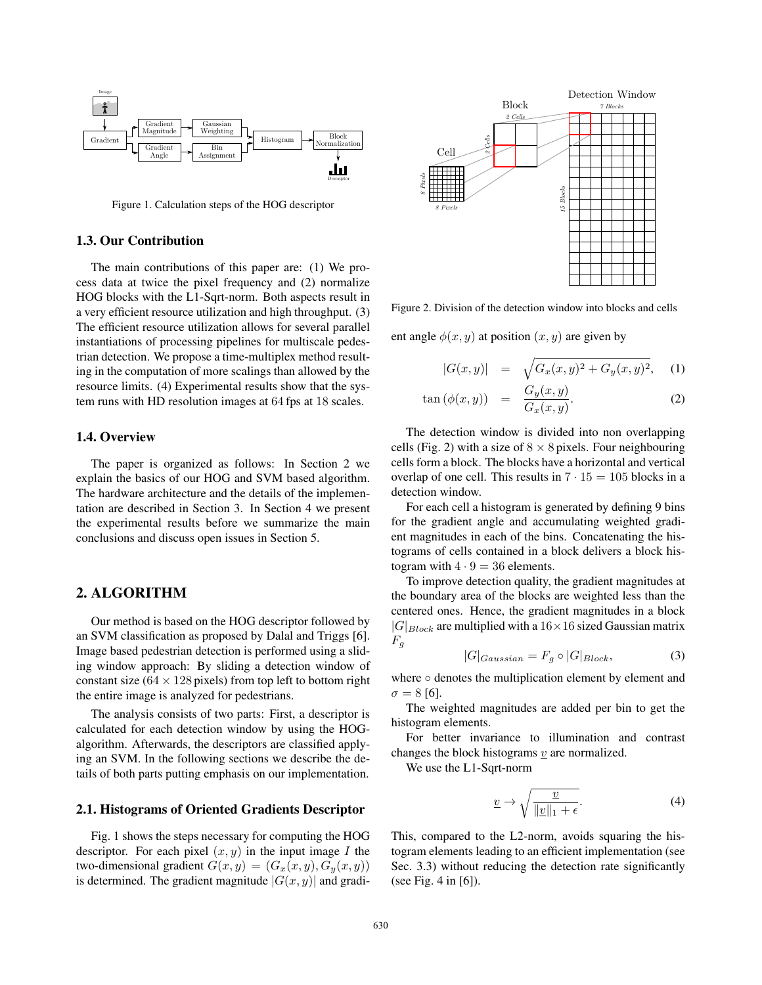

Figure 1. Calculation steps of the HOG descriptor

## 1.3. Our Contribution

The main contributions of this paper are: (1) We process data at twice the pixel frequency and (2) normalize HOG blocks with the L1-Sqrt-norm. Both aspects result in a very efficient resource utilization and high throughput. (3) The efficient resource utilization allows for several parallel instantiations of processing pipelines for multiscale pedestrian detection. We propose a time-multiplex method resulting in the computation of more scalings than allowed by the resource limits. (4) Experimental results show that the system runs with HD resolution images at 64 fps at 18 scales.

## 1.4. Overview

The paper is organized as follows: In Section 2 we explain the basics of our HOG and SVM based algorithm. The hardware architecture and the details of the implementation are described in Section 3. In Section 4 we present the experimental results before we summarize the main conclusions and discuss open issues in Section 5.

## 2. ALGORITHM

Our method is based on the HOG descriptor followed by an SVM classification as proposed by Dalal and Triggs [6]. Image based pedestrian detection is performed using a sliding window approach: By sliding a detection window of constant size ( $64 \times 128$  pixels) from top left to bottom right the entire image is analyzed for pedestrians.

The analysis consists of two parts: First, a descriptor is calculated for each detection window by using the HOGalgorithm. Afterwards, the descriptors are classified applying an SVM. In the following sections we describe the details of both parts putting emphasis on our implementation.

#### 2.1. Histograms of Oriented Gradients Descriptor

Fig. 1 shows the steps necessary for computing the HOG descriptor. For each pixel  $(x, y)$  in the input image I the two-dimensional gradient  $G(x, y) = (G_x(x, y), G_y(x, y))$ is determined. The gradient magnitude  $|G(x, y)|$  and gradi-



Figure 2. Division of the detection window into blocks and cells

ent angle  $\phi(x, y)$  at position  $(x, y)$  are given by

$$
|G(x,y)| = \sqrt{G_x(x,y)^2 + G_y(x,y)^2}, \quad (1)
$$

$$
\tan\left(\phi(x,y)\right) = \frac{G_y(x,y)}{G_x(x,y)}.\tag{2}
$$

The detection window is divided into non overlapping cells (Fig. 2) with a size of  $8 \times 8$  pixels. Four neighbouring cells form a block. The blocks have a horizontal and vertical overlap of one cell. This results in  $7 \cdot 15 = 105$  blocks in a detection window.

For each cell a histogram is generated by defining 9 bins for the gradient angle and accumulating weighted gradient magnitudes in each of the bins. Concatenating the histograms of cells contained in a block delivers a block histogram with  $4 \cdot 9 = 36$  elements.

To improve detection quality, the gradient magnitudes at the boundary area of the blocks are weighted less than the centered ones. Hence, the gradient magnitudes in a block  $|G|_{Block}$  are multiplied with a 16×16 sized Gaussian matrix  $F_q$ 

$$
|G|_{Gaussian} = F_g \circ |G|_{Block},\tag{3}
$$

where ○ denotes the multiplication element by element and  $\sigma = 8$  [6].

The weighted magnitudes are added per bin to get the histogram elements.

For better invariance to illumination and contrast changes the block histograms  $v$  are normalized.

We use the L1-Sqrt-norm

$$
\underline{v} \to \sqrt{\frac{\underline{v}}{\|\underline{v}\|_1 + \epsilon}}.\tag{4}
$$

This, compared to the L2-norm, avoids squaring the histogram elements leading to an efficient implementation (see Sec. 3.3) without reducing the detection rate significantly (see Fig. 4 in [6]).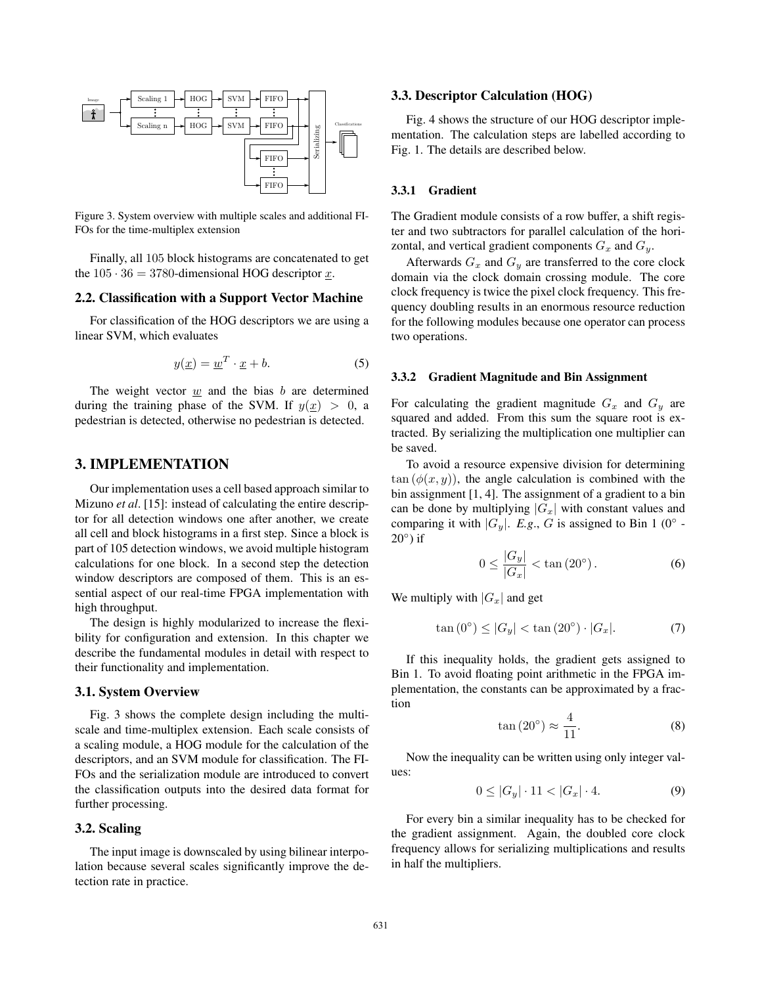

Figure 3. System overview with multiple scales and additional FI-FOs for the time-multiplex extension

Finally, all 105 block histograms are concatenated to get the  $105 \cdot 36 = 3780$ -dimensional HOG descriptor x.

#### 2.2. Classification with a Support Vector Machine

For classification of the HOG descriptors we are using a linear SVM, which evaluates

$$
y(\underline{x}) = \underline{w}^T \cdot \underline{x} + b. \tag{5}
$$

The weight vector  $\underline{w}$  and the bias b are determined during the training phase of the SVM. If  $y(x) > 0$ , a pedestrian is detected, otherwise no pedestrian is detected.

# 3. IMPLEMENTATION

Our implementation uses a cell based approach similar to Mizuno *et al*. [15]: instead of calculating the entire descriptor for all detection windows one after another, we create all cell and block histograms in a first step. Since a block is part of 105 detection windows, we avoid multiple histogram calculations for one block. In a second step the detection window descriptors are composed of them. This is an essential aspect of our real-time FPGA implementation with high throughput.

The design is highly modularized to increase the flexibility for configuration and extension. In this chapter we describe the fundamental modules in detail with respect to their functionality and implementation.

#### 3.1. System Overview

Fig. 3 shows the complete design including the multiscale and time-multiplex extension. Each scale consists of a scaling module, a HOG module for the calculation of the descriptors, and an SVM module for classification. The FI-FOs and the serialization module are introduced to convert the classification outputs into the desired data format for further processing.

#### 3.2. Scaling

The input image is downscaled by using bilinear interpolation because several scales significantly improve the detection rate in practice.

## 3.3. Descriptor Calculation (HOG)

Fig. 4 shows the structure of our HOG descriptor implementation. The calculation steps are labelled according to Fig. 1. The details are described below.

#### 3.3.1 Gradient

The Gradient module consists of a row buffer, a shift register and two subtractors for parallel calculation of the horizontal, and vertical gradient components  $G_x$  and  $G_y$ .

Afterwards  $G_x$  and  $G_y$  are transferred to the core clock domain via the clock domain crossing module. The core clock frequency is twice the pixel clock frequency. This frequency doubling results in an enormous resource reduction for the following modules because one operator can process two operations.

#### 3.3.2 Gradient Magnitude and Bin Assignment

For calculating the gradient magnitude  $G_x$  and  $G_y$  are squared and added. From this sum the square root is extracted. By serializing the multiplication one multiplier can be saved.

To avoid a resource expensive division for determining  $tan (\phi(x, y))$ , the angle calculation is combined with the bin assignment [1, 4]. The assignment of a gradient to a bin can be done by multiplying  $|G_x|$  with constant values and comparing it with  $|G_y|$ . *E.g.*, *G* is assigned to Bin 1 (0° - $20°$ ) if

$$
0 \le \frac{|G_y|}{|G_x|} < \tan(20^\circ). \tag{6}
$$

We multiply with  $|G_x|$  and get

$$
\tan(0^\circ) \le |G_y| < \tan(20^\circ) \cdot |G_x|.\tag{7}
$$

If this inequality holds, the gradient gets assigned to Bin 1. To avoid floating point arithmetic in the FPGA implementation, the constants can be approximated by a fraction

$$
\tan(20^\circ) \approx \frac{4}{11}.\tag{8}
$$

Now the inequality can be written using only integer values:

$$
0 \le |G_y| \cdot 11 < |G_x| \cdot 4. \tag{9}
$$

For every bin a similar inequality has to be checked for the gradient assignment. Again, the doubled core clock frequency allows for serializing multiplications and results in half the multipliers.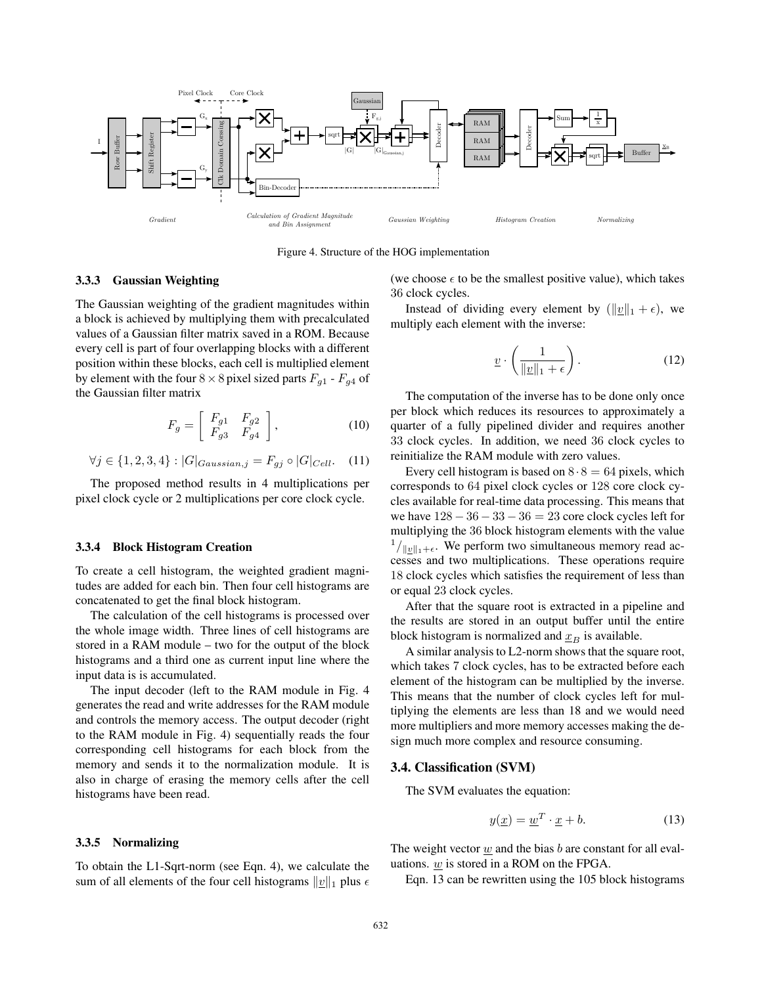

Figure 4. Structure of the HOG implementation

### 3.3.3 Gaussian Weighting

The Gaussian weighting of the gradient magnitudes within a block is achieved by multiplying them with precalculated values of a Gaussian filter matrix saved in a ROM. Because every cell is part of four overlapping blocks with a different position within these blocks, each cell is multiplied element by element with the four  $8 \times 8$  pixel sized parts  $F_{q1}$  -  $F_{q4}$  of the Gaussian filter matrix

$$
F_g = \left[ \begin{array}{cc} F_{g1} & F_{g2} \\ F_{g3} & F_{g4} \end{array} \right],\tag{10}
$$

$$
\forall j \in \{1, 2, 3, 4\} : |G|_{Gaussian,j} = F_{gj} \circ |G|_{Cell}. \quad (11)
$$

The proposed method results in 4 multiplications per pixel clock cycle or 2 multiplications per core clock cycle.

#### 3.3.4 Block Histogram Creation

To create a cell histogram, the weighted gradient magnitudes are added for each bin. Then four cell histograms are concatenated to get the final block histogram.

The calculation of the cell histograms is processed over the whole image width. Three lines of cell histograms are stored in a RAM module – two for the output of the block histograms and a third one as current input line where the input data is is accumulated.

The input decoder (left to the RAM module in Fig. 4 generates the read and write addresses for the RAM module and controls the memory access. The output decoder (right to the RAM module in Fig. 4) sequentially reads the four corresponding cell histograms for each block from the memory and sends it to the normalization module. It is also in charge of erasing the memory cells after the cell histograms have been read.

#### 3.3.5 Normalizing

To obtain the L1-Sqrt-norm (see Eqn. 4), we calculate the sum of all elements of the four cell histograms  $||\underline{v}||_1$  plus  $\epsilon$  (we choose  $\epsilon$  to be the smallest positive value), which takes 36 clock cycles.

Instead of dividing every element by  $(\|\underline{v}\|_1 + \epsilon)$ , we multiply each element with the inverse:

$$
\underline{v} \cdot \left(\frac{1}{\|\underline{v}\|_1 + \epsilon}\right). \tag{12}
$$

The computation of the inverse has to be done only once per block which reduces its resources to approximately a quarter of a fully pipelined divider and requires another 33 clock cycles. In addition, we need 36 clock cycles to reinitialize the RAM module with zero values.

Every cell histogram is based on  $8 \cdot 8 = 64$  pixels, which corresponds to 64 pixel clock cycles or 128 core clock cycles available for real-time data processing. This means that we have  $128 - 36 - 33 - 36 = 23$  core clock cycles left for multiplying the 36 block histogram elements with the value  $\frac{1}{\|w\|_1+\epsilon}$ . We perform two simultaneous memory read accesses and two multiplications. These operations require 18 clock cycles which satisfies the requirement of less than or equal 23 clock cycles.

After that the square root is extracted in a pipeline and the results are stored in an output buffer until the entire block histogram is normalized and  $\underline{x}_B$  is available.

A similar analysis to L2-norm shows that the square root, which takes 7 clock cycles, has to be extracted before each element of the histogram can be multiplied by the inverse. This means that the number of clock cycles left for multiplying the elements are less than 18 and we would need more multipliers and more memory accesses making the design much more complex and resource consuming.

#### 3.4. Classification (SVM)

The SVM evaluates the equation:

$$
y(\underline{x}) = \underline{w}^T \cdot \underline{x} + b. \tag{13}
$$

The weight vector  $w$  and the bias  $b$  are constant for all evaluations. w is stored in a ROM on the FPGA.

Eqn. 13 can be rewritten using the 105 block histograms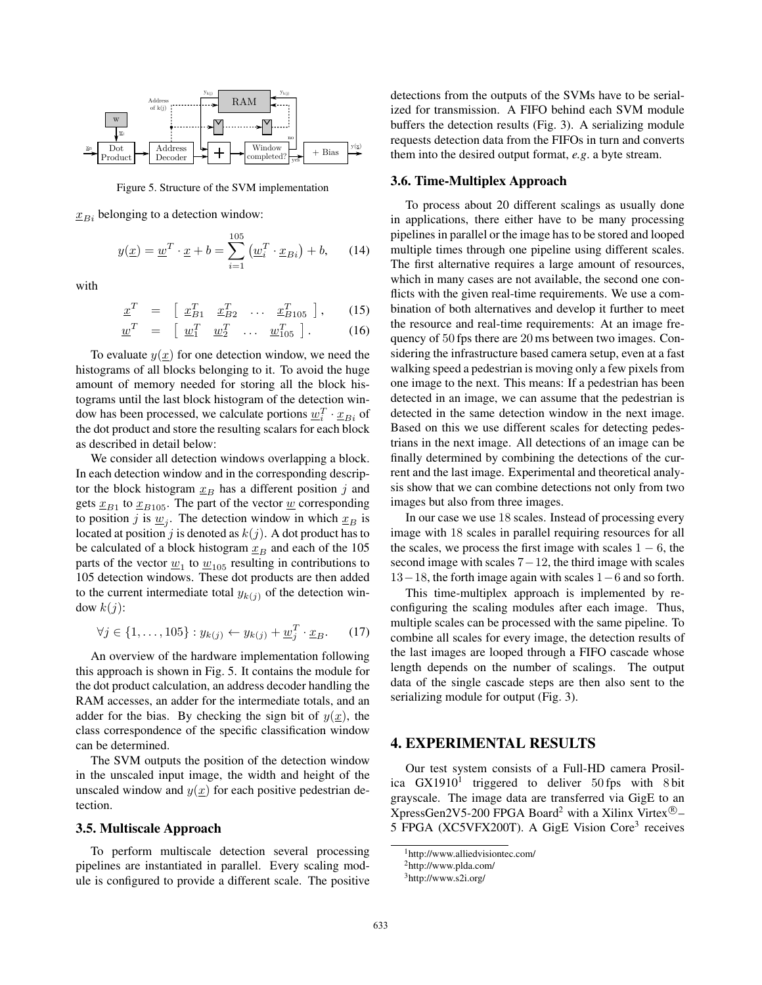

Figure 5. Structure of the SVM implementation

 $x_{Bi}$  belonging to a detection window:

$$
y(\underline{x}) = \underline{w}^T \cdot \underline{x} + b = \sum_{i=1}^{105} \left( \underline{w}_i^T \cdot \underline{x}_{Bi} \right) + b,\qquad(14)
$$

with

$$
\underline{x}^T = \begin{bmatrix} \underline{x}_{B1}^T & \underline{x}_{B2}^T & \dots & \underline{x}_{B105}^T \end{bmatrix}, \qquad (15)
$$

$$
\underline{w}^T = \begin{bmatrix} \underline{w}_1^T & \underline{w}_2^T & \dots & \underline{w}_{105}^T \end{bmatrix} . \tag{16}
$$

To evaluate  $y(x)$  for one detection window, we need the histograms of all blocks belonging to it. To avoid the huge amount of memory needed for storing all the block histograms until the last block histogram of the detection window has been processed, we calculate portions  $\underline{w}_i^T \cdot \underline{x}_{Bi}$  of<br>the dot product and store the resulting scalars for each block the dot product and store the resulting scalars for each block as described in detail below:

We consider all detection windows overlapping a block. In each detection window and in the corresponding descriptor the block histogram  $x_B$  has a different position j and gets  $x_{B1}$  to  $x_{B105}$ . The part of the vector w corresponding to position j is  $\underline{w}_j$ . The detection window in which  $\underline{x}_B$  is located at position j is denoted as  $k(j)$ . A dot product has to be calculated of a block histogram  $\underline{x}_B$  and each of the 105 parts of the vector  $\underline{w}_1$  to  $\underline{w}_{105}$  resulting in contributions to 105 detection windows. These dot products are then added to the current intermediate total  $y_{k(j)}$  of the detection window  $k(j)$ :

$$
\forall j \in \{1,\ldots,105\} : y_{k(j)} \leftarrow y_{k(j)} + \underline{w}_j^T \cdot \underline{x}_B. \tag{17}
$$

An overview of the hardware implementation following this approach is shown in Fig. 5. It contains the module for the dot product calculation, an address decoder handling the RAM accesses, an adder for the intermediate totals, and an adder for the bias. By checking the sign bit of  $y(x)$ , the class correspondence of the specific classification window can be determined.

The SVM outputs the position of the detection window in the unscaled input image, the width and height of the unscaled window and  $y(x)$  for each positive pedestrian detection.

#### 3.5. Multiscale Approach

To perform multiscale detection several processing pipelines are instantiated in parallel. Every scaling module is configured to provide a different scale. The positive detections from the outputs of the SVMs have to be serialized for transmission. A FIFO behind each SVM module buffers the detection results (Fig. 3). A serializing module requests detection data from the FIFOs in turn and converts them into the desired output format, *e.g*. a byte stream.

#### 3.6. Time-Multiplex Approach

To process about 20 different scalings as usually done in applications, there either have to be many processing pipelines in parallel or the image has to be stored and looped multiple times through one pipeline using different scales. The first alternative requires a large amount of resources, which in many cases are not available, the second one conflicts with the given real-time requirements. We use a combination of both alternatives and develop it further to meet the resource and real-time requirements: At an image frequency of 50 fps there are 20 ms between two images. Considering the infrastructure based camera setup, even at a fast walking speed a pedestrian is moving only a few pixels from one image to the next. This means: If a pedestrian has been detected in an image, we can assume that the pedestrian is detected in the same detection window in the next image. Based on this we use different scales for detecting pedestrians in the next image. All detections of an image can be finally determined by combining the detections of the current and the last image. Experimental and theoretical analysis show that we can combine detections not only from two images but also from three images.

In our case we use 18 scales. Instead of processing every image with 18 scales in parallel requiring resources for all the scales, we process the first image with scales  $1 - 6$ , the second image with scales  $7-12$ , the third image with scales 13−18, the forth image again with scales 1−6 and so forth.

This time-multiplex approach is implemented by reconfiguring the scaling modules after each image. Thus, multiple scales can be processed with the same pipeline. To combine all scales for every image, the detection results of the last images are looped through a FIFO cascade whose length depends on the number of scalings. The output data of the single cascade steps are then also sent to the serializing module for output (Fig. 3).

## 4. EXPERIMENTAL RESULTS

Our test system consists of a Full-HD camera Prosilica  $GX1910<sup>1</sup>$  triggered to deliver 50 fps with 8 bit grayscale. The image data are transferred via GigE to an XpressGen2V5-200 FPGA Board<sup>2</sup> with a Xilinx Virtex<sup>®</sup>-5 FPGA (XC5VFX200T). A GigE Vision Core<sup>3</sup> receives

<sup>1</sup>http://www.alliedvisiontec.com/

<sup>2</sup>http://www.plda.com/

<sup>3</sup>http://www.s2i.org/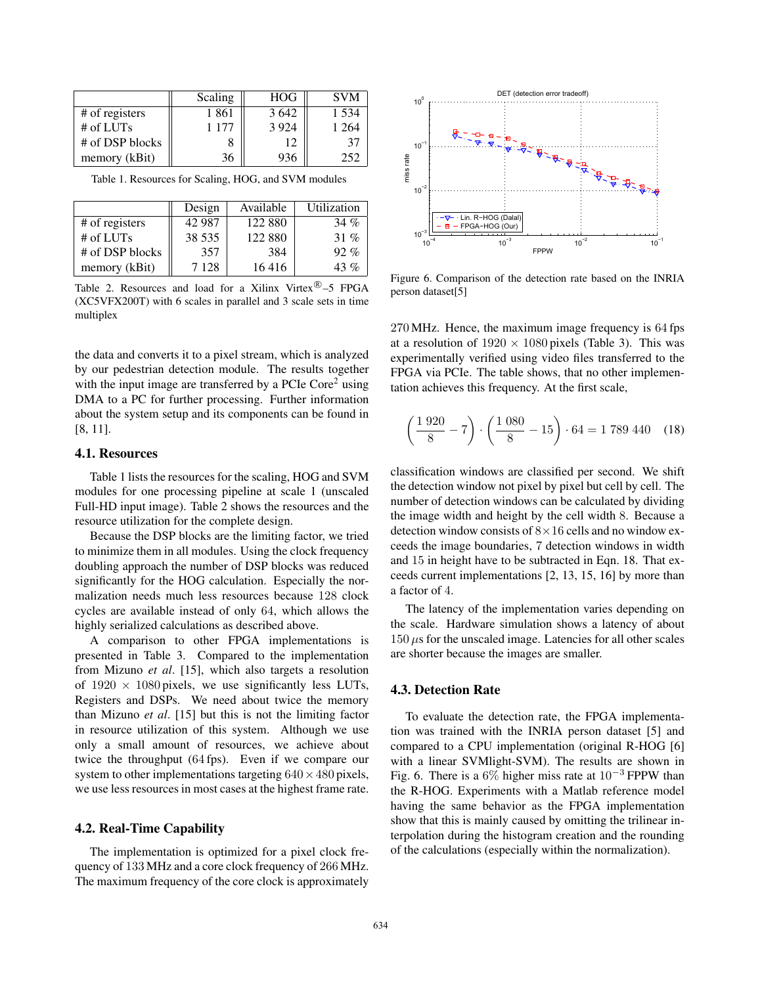|                 | Scaling | <b>HOG</b> | <b>SVM</b> |
|-----------------|---------|------------|------------|
| # of registers  | 1 861   | 3642       | 1 534      |
| # of LUTs       | 1 177   | 3 9 2 4    | 1 264      |
| # of DSP blocks |         | 12         | 37         |
| memory (kBit)   | 36      |            | 252        |

Table 1. Resources for Scaling, HOG, and SVM modules

|                 | Design  | Available | Utilization |
|-----------------|---------|-----------|-------------|
| # of registers  | 42.987  | 122 880   | 34 $%$      |
| $#$ of LUTs     | 38 535  | 122 880   | 31 %        |
| # of DSP blocks | 357     | 384       | $92. \%$    |
| memory (kBit)   | 7 1 2 8 | 16416     | $43\%$      |

Table 2. Resources and load for a Xilinx Virtex $\mathbb{R}$ –5 FPGA (XC5VFX200T) with 6 scales in parallel and 3 scale sets in time multiplex

the data and converts it to a pixel stream, which is analyzed by our pedestrian detection module. The results together with the input image are transferred by a PCIe Core<sup>2</sup> using DMA to a PC for further processing. Further information about the system setup and its components can be found in [8, 11].

#### 4.1. Resources

Table 1 lists the resources for the scaling, HOG and SVM modules for one processing pipeline at scale 1 (unscaled Full-HD input image). Table 2 shows the resources and the resource utilization for the complete design.

Because the DSP blocks are the limiting factor, we tried to minimize them in all modules. Using the clock frequency doubling approach the number of DSP blocks was reduced significantly for the HOG calculation. Especially the normalization needs much less resources because 128 clock cycles are available instead of only 64, which allows the highly serialized calculations as described above.

A comparison to other FPGA implementations is presented in Table 3. Compared to the implementation from Mizuno *et al*. [15], which also targets a resolution of  $1920 \times 1080$  pixels, we use significantly less LUTs, Registers and DSPs. We need about twice the memory than Mizuno *et al*. [15] but this is not the limiting factor in resource utilization of this system. Although we use only a small amount of resources, we achieve about twice the throughput (64 fps). Even if we compare our system to other implementations targeting  $640 \times 480$  pixels, we use less resources in most cases at the highest frame rate.

## 4.2. Real-Time Capability

The implementation is optimized for a pixel clock frequency of 133 MHz and a core clock frequency of 266 MHz. The maximum frequency of the core clock is approximately



Figure 6. Comparison of the detection rate based on the INRIA person dataset[5]

270 MHz. Hence, the maximum image frequency is 64 fps at a resolution of  $1920 \times 1080$  pixels (Table 3). This was experimentally verified using video files transferred to the FPGA via PCIe. The table shows, that no other implementation achieves this frequency. At the first scale,

$$
\left(\frac{1920}{8} - 7\right) \cdot \left(\frac{1080}{8} - 15\right) \cdot 64 = 1789\,440\quad(18)
$$

classification windows are classified per second. We shift the detection window not pixel by pixel but cell by cell. The number of detection windows can be calculated by dividing the image width and height by the cell width 8. Because a detection window consists of  $8\times16$  cells and no window exceeds the image boundaries, 7 detection windows in width and 15 in height have to be subtracted in Eqn. 18. That exceeds current implementations [2, 13, 15, 16] by more than a factor of 4.

The latency of the implementation varies depending on the scale. Hardware simulation shows a latency of about  $150 \,\mu s$  for the unscaled image. Latencies for all other scales are shorter because the images are smaller.

## 4.3. Detection Rate

To evaluate the detection rate, the FPGA implementation was trained with the INRIA person dataset [5] and compared to a CPU implementation (original R-HOG [6] with a linear SVMlight-SVM). The results are shown in Fig. 6. There is a 6% higher miss rate at  $10^{-3}$  FPPW than the R-HOG. Experiments with a Matlab reference model having the same behavior as the FPGA implementation show that this is mainly caused by omitting the trilinear interpolation during the histogram creation and the rounding of the calculations (especially within the normalization).